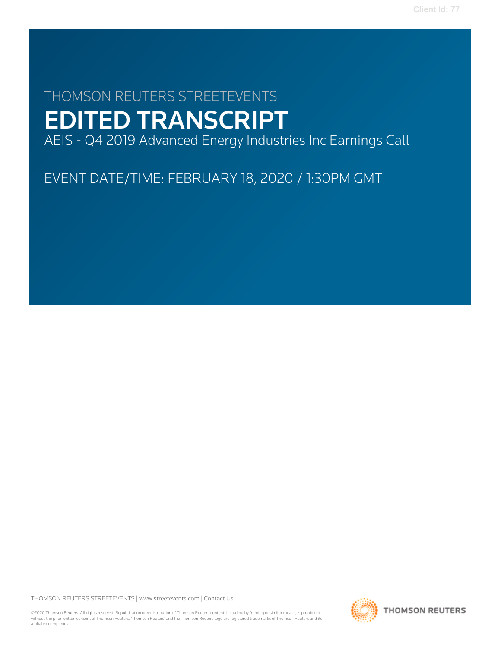# THOMSON REUTERS STREETEVENTS EDITED TRANSCRIPT

AEIS - Q4 2019 Advanced Energy Industries Inc Earnings Call

EVENT DATE/TIME: FEBRUARY 18, 2020 / 1:30PM GMT

THOMSON REUTERS STREETEVENTS | [www.streetevents.com](http://www.streetevents.com) | [Contact Us](http://www010.streetevents.com/contact.asp)

©2020 Thomson Reuters. All rights reserved. Republication or redistribution of Thomson Reuters content, including by framing or similar means, is prohibited without the prior written consent of Thomson Reuters. 'Thomson Reuters' and the Thomson Reuters logo are registered trademarks of Thomson Reuters and its affiliated companies.

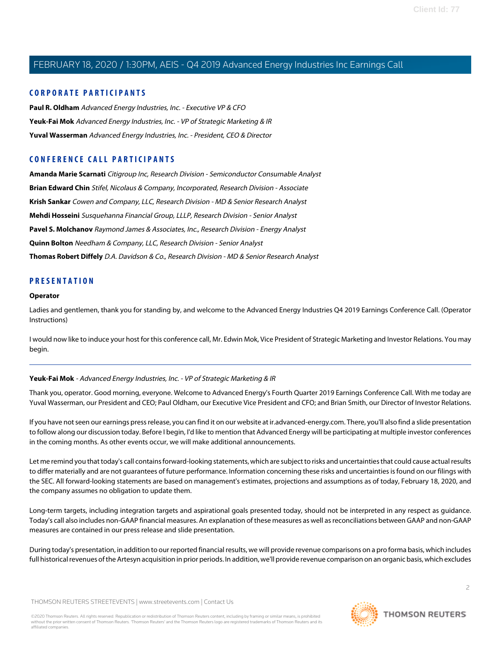## **CORPORATE PARTICIPANTS**

**[Paul R. Oldham](#page-4-0)** Advanced Energy Industries, Inc. - Executive VP & CFO **[Yeuk-Fai Mok](#page-1-0)** Advanced Energy Industries, Inc. - VP of Strategic Marketing & IR **[Yuval Wasserman](#page-2-0)** Advanced Energy Industries, Inc. - President, CEO & Director

## **CONFERENCE CALL PARTICIPANTS**

**[Amanda Marie Scarnati](#page-10-0)** Citigroup Inc, Research Division - Semiconductor Consumable Analyst **[Brian Edward Chin](#page-12-0)** Stifel, Nicolaus & Company, Incorporated, Research Division - Associate **[Krish Sankar](#page-9-0)** Cowen and Company, LLC, Research Division - MD & Senior Research Analyst **[Mehdi Hosseini](#page-14-0)** Susquehanna Financial Group, LLLP, Research Division - Senior Analyst **[Pavel S. Molchanov](#page-11-0)** Raymond James & Associates, Inc., Research Division - Energy Analyst **[Quinn Bolton](#page-6-0)** Needham & Company, LLC, Research Division - Senior Analyst **[Thomas Robert Diffely](#page-7-0)** D.A. Davidson & Co., Research Division - MD & Senior Research Analyst

## **PRESENTATION**

#### **Operator**

Ladies and gentlemen, thank you for standing by, and welcome to the Advanced Energy Industries Q4 2019 Earnings Conference Call. (Operator Instructions)

<span id="page-1-0"></span>I would now like to induce your host for this conference call, Mr. Edwin Mok, Vice President of Strategic Marketing and Investor Relations. You may begin.

#### **Yeuk-Fai Mok** - Advanced Energy Industries, Inc. - VP of Strategic Marketing & IR

Thank you, operator. Good morning, everyone. Welcome to Advanced Energy's Fourth Quarter 2019 Earnings Conference Call. With me today are Yuval Wasserman, our President and CEO; Paul Oldham, our Executive Vice President and CFO; and Brian Smith, our Director of Investor Relations.

If you have not seen our earnings press release, you can find it on our website at ir.advanced-energy.com. There, you'll also find a slide presentation to follow along our discussion today. Before I begin, I'd like to mention that Advanced Energy will be participating at multiple investor conferences in the coming months. As other events occur, we will make additional announcements.

Let me remind you that today's call contains forward-looking statements, which are subject to risks and uncertainties that could cause actual results to differ materially and are not guarantees of future performance. Information concerning these risks and uncertainties is found on our filings with the SEC. All forward-looking statements are based on management's estimates, projections and assumptions as of today, February 18, 2020, and the company assumes no obligation to update them.

Long-term targets, including integration targets and aspirational goals presented today, should not be interpreted in any respect as guidance. Today's call also includes non-GAAP financial measures. An explanation of these measures as well as reconciliations between GAAP and non-GAAP measures are contained in our press release and slide presentation.

During today's presentation, in addition to our reported financial results, we will provide revenue comparisons on a pro forma basis, which includes full historical revenues of the Artesyn acquisition in prior periods. In addition, we'll provide revenue comparison on an organic basis, which excludes

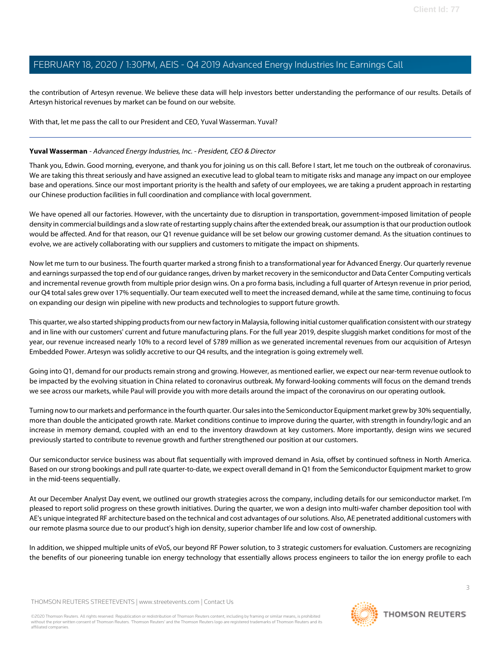the contribution of Artesyn revenue. We believe these data will help investors better understanding the performance of our results. Details of Artesyn historical revenues by market can be found on our website.

With that, let me pass the call to our President and CEO, Yuval Wasserman. Yuval?

#### <span id="page-2-0"></span>**Yuval Wasserman** - Advanced Energy Industries, Inc. - President, CEO & Director

Thank you, Edwin. Good morning, everyone, and thank you for joining us on this call. Before I start, let me touch on the outbreak of coronavirus. We are taking this threat seriously and have assigned an executive lead to global team to mitigate risks and manage any impact on our employee base and operations. Since our most important priority is the health and safety of our employees, we are taking a prudent approach in restarting our Chinese production facilities in full coordination and compliance with local government.

We have opened all our factories. However, with the uncertainty due to disruption in transportation, government-imposed limitation of people density in commercial buildings and a slow rate of restarting supply chains after the extended break, our assumption is that our production outlook would be affected. And for that reason, our Q1 revenue guidance will be set below our growing customer demand. As the situation continues to evolve, we are actively collaborating with our suppliers and customers to mitigate the impact on shipments.

Now let me turn to our business. The fourth quarter marked a strong finish to a transformational year for Advanced Energy. Our quarterly revenue and earnings surpassed the top end of our guidance ranges, driven by market recovery in the semiconductor and Data Center Computing verticals and incremental revenue growth from multiple prior design wins. On a pro forma basis, including a full quarter of Artesyn revenue in prior period, our Q4 total sales grew over 17% sequentially. Our team executed well to meet the increased demand, while at the same time, continuing to focus on expanding our design win pipeline with new products and technologies to support future growth.

This quarter, we also started shipping products from our new factory in Malaysia, following initial customer qualification consistent with our strategy and in line with our customers' current and future manufacturing plans. For the full year 2019, despite sluggish market conditions for most of the year, our revenue increased nearly 10% to a record level of \$789 million as we generated incremental revenues from our acquisition of Artesyn Embedded Power. Artesyn was solidly accretive to our Q4 results, and the integration is going extremely well.

Going into Q1, demand for our products remain strong and growing. However, as mentioned earlier, we expect our near-term revenue outlook to be impacted by the evolving situation in China related to coronavirus outbreak. My forward-looking comments will focus on the demand trends we see across our markets, while Paul will provide you with more details around the impact of the coronavirus on our operating outlook.

Turning now to our markets and performance in the fourth quarter. Our sales into the Semiconductor Equipment market grew by 30% sequentially, more than double the anticipated growth rate. Market conditions continue to improve during the quarter, with strength in foundry/logic and an increase in memory demand, coupled with an end to the inventory drawdown at key customers. More importantly, design wins we secured previously started to contribute to revenue growth and further strengthened our position at our customers.

Our semiconductor service business was about flat sequentially with improved demand in Asia, offset by continued softness in North America. Based on our strong bookings and pull rate quarter-to-date, we expect overall demand in Q1 from the Semiconductor Equipment market to grow in the mid-teens sequentially.

At our December Analyst Day event, we outlined our growth strategies across the company, including details for our semiconductor market. I'm pleased to report solid progress on these growth initiatives. During the quarter, we won a design into multi-wafer chamber deposition tool with AE's unique integrated RF architecture based on the technical and cost advantages of our solutions. Also, AE penetrated additional customers with our remote plasma source due to our product's high ion density, superior chamber life and low cost of ownership.

In addition, we shipped multiple units of eVoS, our beyond RF Power solution, to 3 strategic customers for evaluation. Customers are recognizing the benefits of our pioneering tunable ion energy technology that essentially allows process engineers to tailor the ion energy profile to each

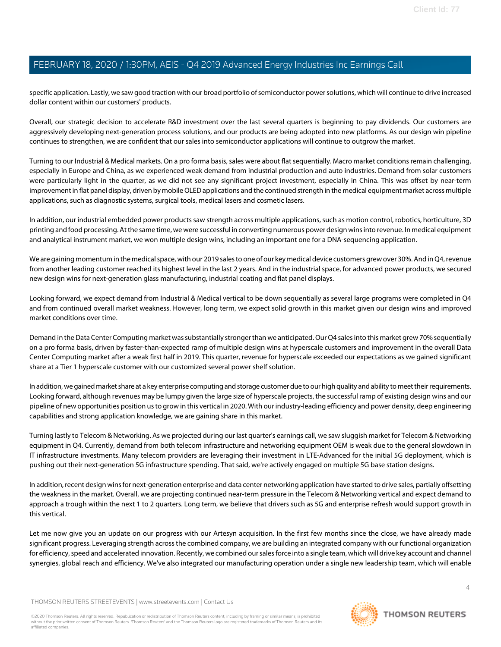specific application. Lastly, we saw good traction with our broad portfolio of semiconductor power solutions, which will continue to drive increased dollar content within our customers' products.

Overall, our strategic decision to accelerate R&D investment over the last several quarters is beginning to pay dividends. Our customers are aggressively developing next-generation process solutions, and our products are being adopted into new platforms. As our design win pipeline continues to strengthen, we are confident that our sales into semiconductor applications will continue to outgrow the market.

Turning to our Industrial & Medical markets. On a pro forma basis, sales were about flat sequentially. Macro market conditions remain challenging, especially in Europe and China, as we experienced weak demand from industrial production and auto industries. Demand from solar customers were particularly light in the quarter, as we did not see any significant project investment, especially in China. This was offset by near-term improvement in flat panel display, driven by mobile OLED applications and the continued strength in the medical equipment market across multiple applications, such as diagnostic systems, surgical tools, medical lasers and cosmetic lasers.

In addition, our industrial embedded power products saw strength across multiple applications, such as motion control, robotics, horticulture, 3D printing and food processing. At the same time, we were successful in converting numerous power design wins into revenue. In medical equipment and analytical instrument market, we won multiple design wins, including an important one for a DNA-sequencing application.

We are gaining momentum in the medical space, with our 2019 sales to one of our key medical device customers grew over 30%. And in Q4, revenue from another leading customer reached its highest level in the last 2 years. And in the industrial space, for advanced power products, we secured new design wins for next-generation glass manufacturing, industrial coating and flat panel displays.

Looking forward, we expect demand from Industrial & Medical vertical to be down sequentially as several large programs were completed in Q4 and from continued overall market weakness. However, long term, we expect solid growth in this market given our design wins and improved market conditions over time.

Demand in the Data Center Computing market was substantially stronger than we anticipated. Our Q4 sales into this market grew 70% sequentially on a pro forma basis, driven by faster-than-expected ramp of multiple design wins at hyperscale customers and improvement in the overall Data Center Computing market after a weak first half in 2019. This quarter, revenue for hyperscale exceeded our expectations as we gained significant share at a Tier 1 hyperscale customer with our customized several power shelf solution.

In addition, we gained market share at a key enterprise computing and storage customer due to our high quality and ability to meet their requirements. Looking forward, although revenues may be lumpy given the large size of hyperscale projects, the successful ramp of existing design wins and our pipeline of new opportunities position us to grow in this vertical in 2020. With our industry-leading efficiency and power density, deep engineering capabilities and strong application knowledge, we are gaining share in this market.

Turning lastly to Telecom & Networking. As we projected during our last quarter's earnings call, we saw sluggish market for Telecom & Networking equipment in Q4. Currently, demand from both telecom infrastructure and networking equipment OEM is weak due to the general slowdown in IT infrastructure investments. Many telecom providers are leveraging their investment in LTE-Advanced for the initial 5G deployment, which is pushing out their next-generation 5G infrastructure spending. That said, we're actively engaged on multiple 5G base station designs.

In addition, recent design wins for next-generation enterprise and data center networking application have started to drive sales, partially offsetting the weakness in the market. Overall, we are projecting continued near-term pressure in the Telecom & Networking vertical and expect demand to approach a trough within the next 1 to 2 quarters. Long term, we believe that drivers such as 5G and enterprise refresh would support growth in this vertical.

Let me now give you an update on our progress with our Artesyn acquisition. In the first few months since the close, we have already made significant progress. Leveraging strength across the combined company, we are building an integrated company with our functional organization for efficiency, speed and accelerated innovation. Recently, we combined our sales force into a single team, which will drive key account and channel synergies, global reach and efficiency. We've also integrated our manufacturing operation under a single new leadership team, which will enable

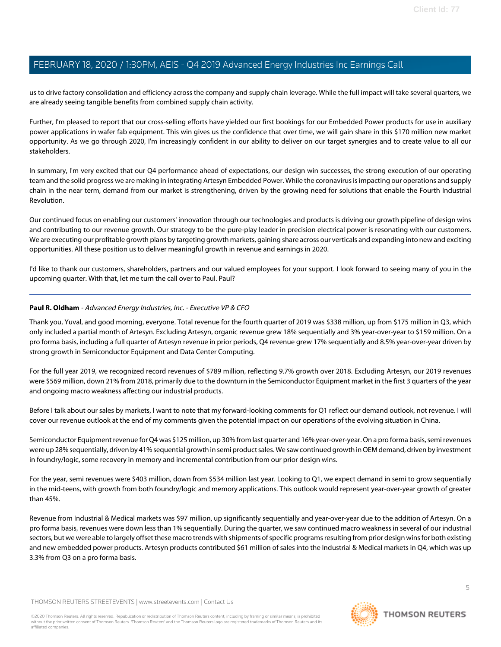us to drive factory consolidation and efficiency across the company and supply chain leverage. While the full impact will take several quarters, we are already seeing tangible benefits from combined supply chain activity.

Further, I'm pleased to report that our cross-selling efforts have yielded our first bookings for our Embedded Power products for use in auxiliary power applications in wafer fab equipment. This win gives us the confidence that over time, we will gain share in this \$170 million new market opportunity. As we go through 2020, I'm increasingly confident in our ability to deliver on our target synergies and to create value to all our stakeholders.

In summary, I'm very excited that our Q4 performance ahead of expectations, our design win successes, the strong execution of our operating team and the solid progress we are making in integrating Artesyn Embedded Power. While the coronavirus is impacting our operations and supply chain in the near term, demand from our market is strengthening, driven by the growing need for solutions that enable the Fourth Industrial Revolution.

Our continued focus on enabling our customers' innovation through our technologies and products is driving our growth pipeline of design wins and contributing to our revenue growth. Our strategy to be the pure-play leader in precision electrical power is resonating with our customers. We are executing our profitable growth plans by targeting growth markets, gaining share across our verticals and expanding into new and exciting opportunities. All these position us to deliver meaningful growth in revenue and earnings in 2020.

<span id="page-4-0"></span>I'd like to thank our customers, shareholders, partners and our valued employees for your support. I look forward to seeing many of you in the upcoming quarter. With that, let me turn the call over to Paul. Paul?

#### **Paul R. Oldham** - Advanced Energy Industries, Inc. - Executive VP & CFO

Thank you, Yuval, and good morning, everyone. Total revenue for the fourth quarter of 2019 was \$338 million, up from \$175 million in Q3, which only included a partial month of Artesyn. Excluding Artesyn, organic revenue grew 18% sequentially and 3% year-over-year to \$159 million. On a pro forma basis, including a full quarter of Artesyn revenue in prior periods, Q4 revenue grew 17% sequentially and 8.5% year-over-year driven by strong growth in Semiconductor Equipment and Data Center Computing.

For the full year 2019, we recognized record revenues of \$789 million, reflecting 9.7% growth over 2018. Excluding Artesyn, our 2019 revenues were \$569 million, down 21% from 2018, primarily due to the downturn in the Semiconductor Equipment market in the first 3 quarters of the year and ongoing macro weakness affecting our industrial products.

Before I talk about our sales by markets, I want to note that my forward-looking comments for Q1 reflect our demand outlook, not revenue. I will cover our revenue outlook at the end of my comments given the potential impact on our operations of the evolving situation in China.

Semiconductor Equipment revenue for Q4 was \$125 million, up 30% from last quarter and 16% year-over-year. On a pro forma basis, semi revenues were up 28% sequentially, driven by 41% sequential growth in semi product sales. We saw continued growth in OEM demand, driven by investment in foundry/logic, some recovery in memory and incremental contribution from our prior design wins.

For the year, semi revenues were \$403 million, down from \$534 million last year. Looking to Q1, we expect demand in semi to grow sequentially in the mid-teens, with growth from both foundry/logic and memory applications. This outlook would represent year-over-year growth of greater than 45%.

Revenue from Industrial & Medical markets was \$97 million, up significantly sequentially and year-over-year due to the addition of Artesyn. On a pro forma basis, revenues were down less than 1% sequentially. During the quarter, we saw continued macro weakness in several of our industrial sectors, but we were able to largely offset these macro trends with shipments of specific programs resulting from prior design wins for both existing and new embedded power products. Artesyn products contributed \$61 million of sales into the Industrial & Medical markets in Q4, which was up 3.3% from Q3 on a pro forma basis.

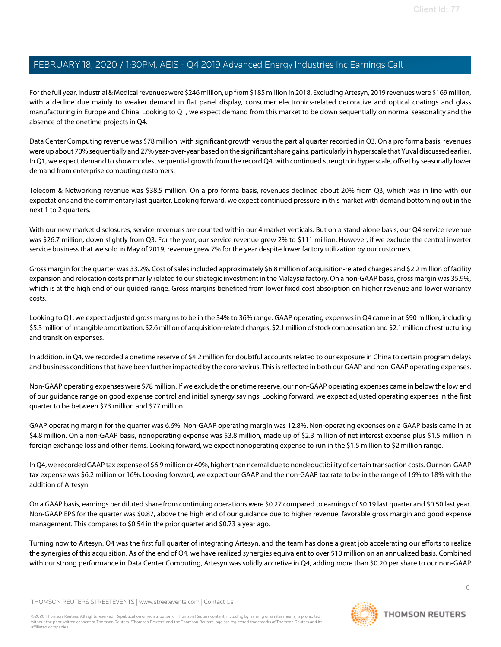For the full year, Industrial & Medical revenues were \$246 million, up from \$185 million in 2018. Excluding Artesyn, 2019 revenues were \$169 million, with a decline due mainly to weaker demand in flat panel display, consumer electronics-related decorative and optical coatings and glass manufacturing in Europe and China. Looking to Q1, we expect demand from this market to be down sequentially on normal seasonality and the absence of the onetime projects in Q4.

Data Center Computing revenue was \$78 million, with significant growth versus the partial quarter recorded in Q3. On a pro forma basis, revenues were up about 70% sequentially and 27% year-over-year based on the significant share gains, particularly in hyperscale that Yuval discussed earlier. In Q1, we expect demand to show modest sequential growth from the record Q4, with continued strength in hyperscale, offset by seasonally lower demand from enterprise computing customers.

Telecom & Networking revenue was \$38.5 million. On a pro forma basis, revenues declined about 20% from Q3, which was in line with our expectations and the commentary last quarter. Looking forward, we expect continued pressure in this market with demand bottoming out in the next 1 to 2 quarters.

With our new market disclosures, service revenues are counted within our 4 market verticals. But on a stand-alone basis, our Q4 service revenue was \$26.7 million, down slightly from Q3. For the year, our service revenue grew 2% to \$111 million. However, if we exclude the central inverter service business that we sold in May of 2019, revenue grew 7% for the year despite lower factory utilization by our customers.

Gross margin for the quarter was 33.2%. Cost of sales included approximately \$6.8 million of acquisition-related charges and \$2.2 million of facility expansion and relocation costs primarily related to our strategic investment in the Malaysia factory. On a non-GAAP basis, gross margin was 35.9%, which is at the high end of our guided range. Gross margins benefited from lower fixed cost absorption on higher revenue and lower warranty costs.

Looking to Q1, we expect adjusted gross margins to be in the 34% to 36% range. GAAP operating expenses in Q4 came in at \$90 million, including \$5.3 million of intangible amortization, \$2.6 million of acquisition-related charges, \$2.1 million of stock compensation and \$2.1 million of restructuring and transition expenses.

In addition, in Q4, we recorded a onetime reserve of \$4.2 million for doubtful accounts related to our exposure in China to certain program delays and business conditions that have been further impacted by the coronavirus. This is reflected in both our GAAP and non-GAAP operating expenses.

Non-GAAP operating expenses were \$78 million. If we exclude the onetime reserve, our non-GAAP operating expenses came in below the low end of our guidance range on good expense control and initial synergy savings. Looking forward, we expect adjusted operating expenses in the first quarter to be between \$73 million and \$77 million.

GAAP operating margin for the quarter was 6.6%. Non-GAAP operating margin was 12.8%. Non-operating expenses on a GAAP basis came in at \$4.8 million. On a non-GAAP basis, nonoperating expense was \$3.8 million, made up of \$2.3 million of net interest expense plus \$1.5 million in foreign exchange loss and other items. Looking forward, we expect nonoperating expense to run in the \$1.5 million to \$2 million range.

In Q4, we recorded GAAP tax expense of \$6.9 million or 40%, higher than normal due to nondeductibility of certain transaction costs. Our non-GAAP tax expense was \$6.2 million or 16%. Looking forward, we expect our GAAP and the non-GAAP tax rate to be in the range of 16% to 18% with the addition of Artesyn.

On a GAAP basis, earnings per diluted share from continuing operations were \$0.27 compared to earnings of \$0.19 last quarter and \$0.50 last year. Non-GAAP EPS for the quarter was \$0.87, above the high end of our guidance due to higher revenue, favorable gross margin and good expense management. This compares to \$0.54 in the prior quarter and \$0.73 a year ago.

Turning now to Artesyn. Q4 was the first full quarter of integrating Artesyn, and the team has done a great job accelerating our efforts to realize the synergies of this acquisition. As of the end of Q4, we have realized synergies equivalent to over \$10 million on an annualized basis. Combined with our strong performance in Data Center Computing, Artesyn was solidly accretive in Q4, adding more than \$0.20 per share to our non-GAAP

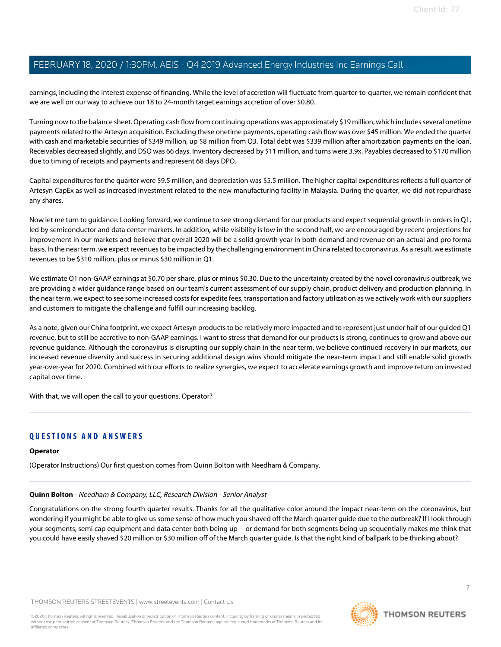earnings, including the interest expense of financing. While the level of accretion will fluctuate from quarter-to-quarter, we remain confident that we are well on our way to achieve our 18 to 24-month target earnings accretion of over \$0.80.

Turning now to the balance sheet. Operating cash flow from continuing operations was approximately \$19 million, which includes several onetime payments related to the Artesyn acquisition. Excluding these onetime payments, operating cash flow was over \$45 million. We ended the quarter with cash and marketable securities of \$349 million, up \$8 million from Q3. Total debt was \$339 million after amortization payments on the loan. Receivables decreased slightly, and DSO was 66 days. Inventory decreased by \$11 million, and turns were 3.9x. Payables decreased to \$170 million due to timing of receipts and payments and represent 68 days DPO.

Capital expenditures for the quarter were \$9.5 million, and depreciation was \$5.5 million. The higher capital expenditures reflects a full quarter of Artesyn CapEx as well as increased investment related to the new manufacturing facility in Malaysia. During the quarter, we did not repurchase any shares.

Now let me turn to guidance. Looking forward, we continue to see strong demand for our products and expect sequential growth in orders in Q1, led by semiconductor and data center markets. In addition, while visibility is low in the second half, we are encouraged by recent projections for improvement in our markets and believe that overall 2020 will be a solid growth year in both demand and revenue on an actual and pro forma basis. In the near term, we expect revenues to be impacted by the challenging environment in China related to coronavirus. As a result, we estimate revenues to be \$310 million, plus or minus \$30 million in Q1.

We estimate Q1 non-GAAP earnings at \$0.70 per share, plus or minus \$0.30. Due to the uncertainty created by the novel coronavirus outbreak, we are providing a wider guidance range based on our team's current assessment of our supply chain, product delivery and production planning. In the near term, we expect to see some increased costs for expedite fees, transportation and factory utilization as we actively work with our suppliers and customers to mitigate the challenge and fulfill our increasing backlog.

As a note, given our China footprint, we expect Artesyn products to be relatively more impacted and to represent just under half of our guided Q1 revenue, but to still be accretive to non-GAAP earnings. I want to stress that demand for our products is strong, continues to grow and above our revenue guidance. Although the coronavirus is disrupting our supply chain in the near term, we believe continued recovery in our markets, our increased revenue diversity and success in securing additional design wins should mitigate the near-term impact and still enable solid growth year-over-year for 2020. Combined with our efforts to realize synergies, we expect to accelerate earnings growth and improve return on invested capital over time.

With that, we will open the call to your questions. Operator?

## **QUESTIONS AND ANSWERS**

#### <span id="page-6-0"></span>**Operator**

(Operator Instructions) Our first question comes from Quinn Bolton with Needham & Company.

#### **Quinn Bolton** - Needham & Company, LLC, Research Division - Senior Analyst

Congratulations on the strong fourth quarter results. Thanks for all the qualitative color around the impact near-term on the coronavirus, but wondering if you might be able to give us some sense of how much you shaved off the March quarter guide due to the outbreak? If I look through your segments, semi cap equipment and data center both being up -- or demand for both segments being up sequentially makes me think that you could have easily shaved \$20 million or \$30 million off of the March quarter guide. Is that the right kind of ballpark to be thinking about?

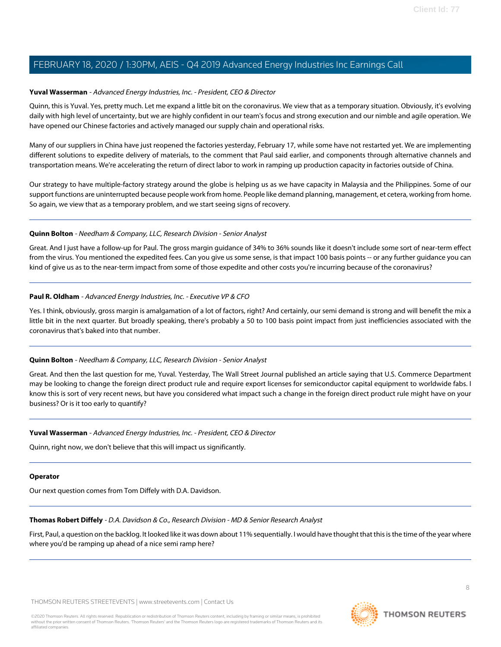#### **Yuval Wasserman** - Advanced Energy Industries, Inc. - President, CEO & Director

Quinn, this is Yuval. Yes, pretty much. Let me expand a little bit on the coronavirus. We view that as a temporary situation. Obviously, it's evolving daily with high level of uncertainty, but we are highly confident in our team's focus and strong execution and our nimble and agile operation. We have opened our Chinese factories and actively managed our supply chain and operational risks.

Many of our suppliers in China have just reopened the factories yesterday, February 17, while some have not restarted yet. We are implementing different solutions to expedite delivery of materials, to the comment that Paul said earlier, and components through alternative channels and transportation means. We're accelerating the return of direct labor to work in ramping up production capacity in factories outside of China.

Our strategy to have multiple-factory strategy around the globe is helping us as we have capacity in Malaysia and the Philippines. Some of our support functions are uninterrupted because people work from home. People like demand planning, management, et cetera, working from home. So again, we view that as a temporary problem, and we start seeing signs of recovery.

#### **Quinn Bolton** - Needham & Company, LLC, Research Division - Senior Analyst

Great. And I just have a follow-up for Paul. The gross margin guidance of 34% to 36% sounds like it doesn't include some sort of near-term effect from the virus. You mentioned the expedited fees. Can you give us some sense, is that impact 100 basis points -- or any further guidance you can kind of give us as to the near-term impact from some of those expedite and other costs you're incurring because of the coronavirus?

#### **Paul R. Oldham** - Advanced Energy Industries, Inc. - Executive VP & CFO

Yes. I think, obviously, gross margin is amalgamation of a lot of factors, right? And certainly, our semi demand is strong and will benefit the mix a little bit in the next quarter. But broadly speaking, there's probably a 50 to 100 basis point impact from just inefficiencies associated with the coronavirus that's baked into that number.

## **Quinn Bolton** - Needham & Company, LLC, Research Division - Senior Analyst

Great. And then the last question for me, Yuval. Yesterday, The Wall Street Journal published an article saying that U.S. Commerce Department may be looking to change the foreign direct product rule and require export licenses for semiconductor capital equipment to worldwide fabs. I know this is sort of very recent news, but have you considered what impact such a change in the foreign direct product rule might have on your business? Or is it too early to quantify?

#### **Yuval Wasserman** - Advanced Energy Industries, Inc. - President, CEO & Director

Quinn, right now, we don't believe that this will impact us significantly.

#### <span id="page-7-0"></span>**Operator**

Our next question comes from Tom Diffely with D.A. Davidson.

## **Thomas Robert Diffely** - D.A. Davidson & Co., Research Division - MD & Senior Research Analyst

First, Paul, a question on the backlog. It looked like it was down about 11% sequentially. I would have thought that this is the time of the year where where you'd be ramping up ahead of a nice semi ramp here?



8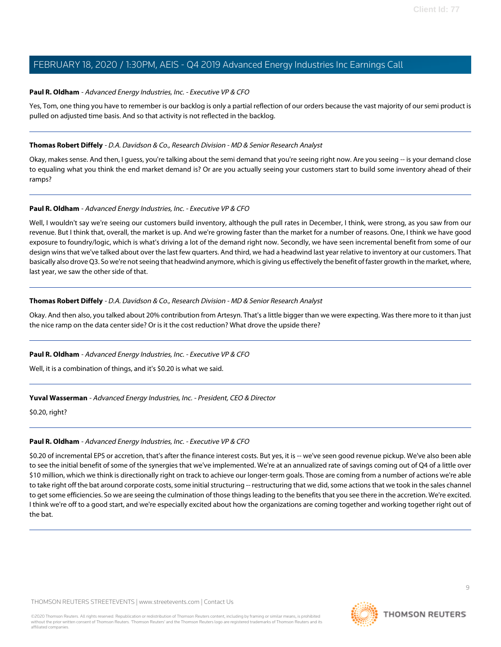#### **Paul R. Oldham** - Advanced Energy Industries, Inc. - Executive VP & CFO

Yes, Tom, one thing you have to remember is our backlog is only a partial reflection of our orders because the vast majority of our semi product is pulled on adjusted time basis. And so that activity is not reflected in the backlog.

#### **Thomas Robert Diffely** - D.A. Davidson & Co., Research Division - MD & Senior Research Analyst

Okay, makes sense. And then, I guess, you're talking about the semi demand that you're seeing right now. Are you seeing -- is your demand close to equaling what you think the end market demand is? Or are you actually seeing your customers start to build some inventory ahead of their ramps?

#### **Paul R. Oldham** - Advanced Energy Industries, Inc. - Executive VP & CFO

Well, I wouldn't say we're seeing our customers build inventory, although the pull rates in December, I think, were strong, as you saw from our revenue. But I think that, overall, the market is up. And we're growing faster than the market for a number of reasons. One, I think we have good exposure to foundry/logic, which is what's driving a lot of the demand right now. Secondly, we have seen incremental benefit from some of our design wins that we've talked about over the last few quarters. And third, we had a headwind last year relative to inventory at our customers. That basically also drove Q3. So we're not seeing that headwind anymore, which is giving us effectively the benefit of faster growth in the market, where, last year, we saw the other side of that.

#### **Thomas Robert Diffely** - D.A. Davidson & Co., Research Division - MD & Senior Research Analyst

Okay. And then also, you talked about 20% contribution from Artesyn. That's a little bigger than we were expecting. Was there more to it than just the nice ramp on the data center side? Or is it the cost reduction? What drove the upside there?

#### **Paul R. Oldham** - Advanced Energy Industries, Inc. - Executive VP & CFO

Well, it is a combination of things, and it's \$0.20 is what we said.

## **Yuval Wasserman** - Advanced Energy Industries, Inc. - President, CEO & Director

\$0.20, right?

#### **Paul R. Oldham** - Advanced Energy Industries, Inc. - Executive VP & CFO

\$0.20 of incremental EPS or accretion, that's after the finance interest costs. But yes, it is -- we've seen good revenue pickup. We've also been able to see the initial benefit of some of the synergies that we've implemented. We're at an annualized rate of savings coming out of Q4 of a little over \$10 million, which we think is directionally right on track to achieve our longer-term goals. Those are coming from a number of actions we're able to take right off the bat around corporate costs, some initial structuring -- restructuring that we did, some actions that we took in the sales channel to get some efficiencies. So we are seeing the culmination of those things leading to the benefits that you see there in the accretion. We're excited. I think we're off to a good start, and we're especially excited about how the organizations are coming together and working together right out of the bat.

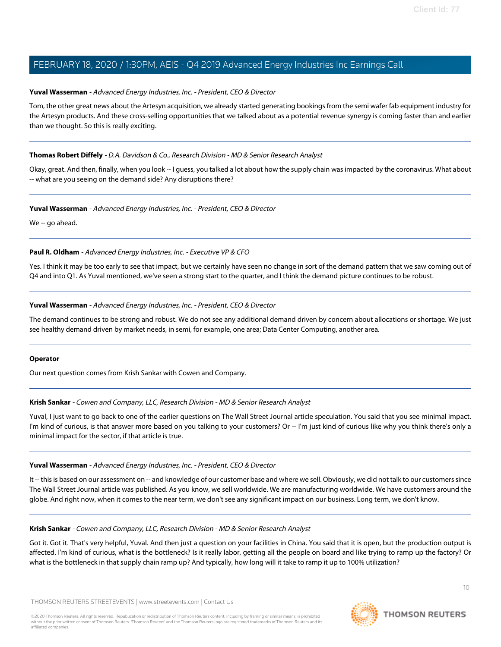#### **Yuval Wasserman** - Advanced Energy Industries, Inc. - President, CEO & Director

Tom, the other great news about the Artesyn acquisition, we already started generating bookings from the semi wafer fab equipment industry for the Artesyn products. And these cross-selling opportunities that we talked about as a potential revenue synergy is coming faster than and earlier than we thought. So this is really exciting.

#### **Thomas Robert Diffely** - D.A. Davidson & Co., Research Division - MD & Senior Research Analyst

Okay, great. And then, finally, when you look -- I guess, you talked a lot about how the supply chain was impacted by the coronavirus. What about -- what are you seeing on the demand side? Any disruptions there?

#### **Yuval Wasserman** - Advanced Energy Industries, Inc. - President, CEO & Director

We -- go ahead.

#### **Paul R. Oldham** - Advanced Energy Industries, Inc. - Executive VP & CFO

Yes. I think it may be too early to see that impact, but we certainly have seen no change in sort of the demand pattern that we saw coming out of Q4 and into Q1. As Yuval mentioned, we've seen a strong start to the quarter, and I think the demand picture continues to be robust.

#### **Yuval Wasserman** - Advanced Energy Industries, Inc. - President, CEO & Director

The demand continues to be strong and robust. We do not see any additional demand driven by concern about allocations or shortage. We just see healthy demand driven by market needs, in semi, for example, one area; Data Center Computing, another area.

#### <span id="page-9-0"></span>**Operator**

Our next question comes from Krish Sankar with Cowen and Company.

#### **Krish Sankar** - Cowen and Company, LLC, Research Division - MD & Senior Research Analyst

Yuval, I just want to go back to one of the earlier questions on The Wall Street Journal article speculation. You said that you see minimal impact. I'm kind of curious, is that answer more based on you talking to your customers? Or -- I'm just kind of curious like why you think there's only a minimal impact for the sector, if that article is true.

#### **Yuval Wasserman** - Advanced Energy Industries, Inc. - President, CEO & Director

It -- this is based on our assessment on -- and knowledge of our customer base and where we sell. Obviously, we did not talk to our customers since The Wall Street Journal article was published. As you know, we sell worldwide. We are manufacturing worldwide. We have customers around the globe. And right now, when it comes to the near term, we don't see any significant impact on our business. Long term, we don't know.

#### **Krish Sankar** - Cowen and Company, LLC, Research Division - MD & Senior Research Analyst

Got it. Got it. That's very helpful, Yuval. And then just a question on your facilities in China. You said that it is open, but the production output is affected. I'm kind of curious, what is the bottleneck? Is it really labor, getting all the people on board and like trying to ramp up the factory? Or what is the bottleneck in that supply chain ramp up? And typically, how long will it take to ramp it up to 100% utilization?

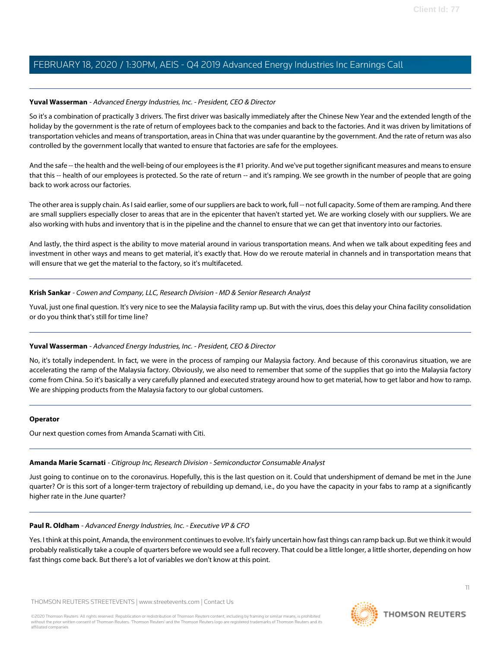#### **Yuval Wasserman** - Advanced Energy Industries, Inc. - President, CEO & Director

So it's a combination of practically 3 drivers. The first driver was basically immediately after the Chinese New Year and the extended length of the holiday by the government is the rate of return of employees back to the companies and back to the factories. And it was driven by limitations of transportation vehicles and means of transportation, areas in China that was under quarantine by the government. And the rate of return was also controlled by the government locally that wanted to ensure that factories are safe for the employees.

And the safe -- the health and the well-being of our employees is the #1 priority. And we've put together significant measures and means to ensure that this -- health of our employees is protected. So the rate of return -- and it's ramping. We see growth in the number of people that are going back to work across our factories.

The other area is supply chain. As I said earlier, some of our suppliers are back to work, full -- not full capacity. Some of them are ramping. And there are small suppliers especially closer to areas that are in the epicenter that haven't started yet. We are working closely with our suppliers. We are also working with hubs and inventory that is in the pipeline and the channel to ensure that we can get that inventory into our factories.

And lastly, the third aspect is the ability to move material around in various transportation means. And when we talk about expediting fees and investment in other ways and means to get material, it's exactly that. How do we reroute material in channels and in transportation means that will ensure that we get the material to the factory, so it's multifaceted.

#### **Krish Sankar** - Cowen and Company, LLC, Research Division - MD & Senior Research Analyst

Yuval, just one final question. It's very nice to see the Malaysia facility ramp up. But with the virus, does this delay your China facility consolidation or do you think that's still for time line?

## **Yuval Wasserman** - Advanced Energy Industries, Inc. - President, CEO & Director

No, it's totally independent. In fact, we were in the process of ramping our Malaysia factory. And because of this coronavirus situation, we are accelerating the ramp of the Malaysia factory. Obviously, we also need to remember that some of the supplies that go into the Malaysia factory come from China. So it's basically a very carefully planned and executed strategy around how to get material, how to get labor and how to ramp. We are shipping products from the Malaysia factory to our global customers.

#### <span id="page-10-0"></span>**Operator**

Our next question comes from Amanda Scarnati with Citi.

#### **Amanda Marie Scarnati** - Citigroup Inc, Research Division - Semiconductor Consumable Analyst

Just going to continue on to the coronavirus. Hopefully, this is the last question on it. Could that undershipment of demand be met in the June quarter? Or is this sort of a longer-term trajectory of rebuilding up demand, i.e., do you have the capacity in your fabs to ramp at a significantly higher rate in the June quarter?

#### **Paul R. Oldham** - Advanced Energy Industries, Inc. - Executive VP & CFO

Yes. I think at this point, Amanda, the environment continues to evolve. It's fairly uncertain how fast things can ramp back up. But we think it would probably realistically take a couple of quarters before we would see a full recovery. That could be a little longer, a little shorter, depending on how fast things come back. But there's a lot of variables we don't know at this point.

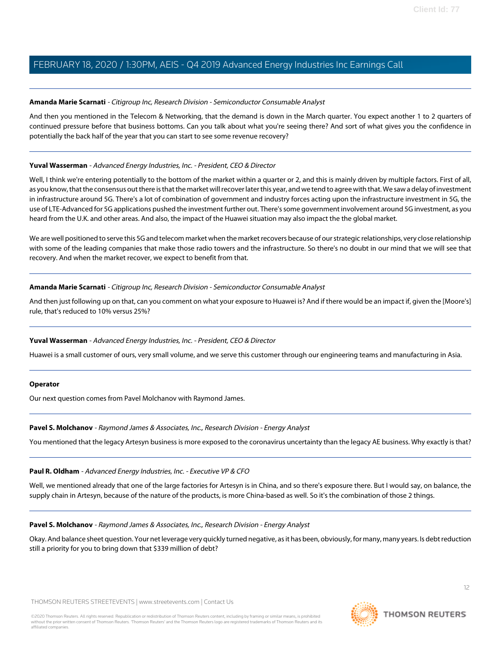#### **Amanda Marie Scarnati** - Citigroup Inc, Research Division - Semiconductor Consumable Analyst

And then you mentioned in the Telecom & Networking, that the demand is down in the March quarter. You expect another 1 to 2 quarters of continued pressure before that business bottoms. Can you talk about what you're seeing there? And sort of what gives you the confidence in potentially the back half of the year that you can start to see some revenue recovery?

#### **Yuval Wasserman** - Advanced Energy Industries, Inc. - President, CEO & Director

Well, I think we're entering potentially to the bottom of the market within a quarter or 2, and this is mainly driven by multiple factors. First of all, as you know, that the consensus out there is that the market will recover later this year, and we tend to agree with that. We saw a delay of investment in infrastructure around 5G. There's a lot of combination of government and industry forces acting upon the infrastructure investment in 5G, the use of LTE-Advanced for 5G applications pushed the investment further out. There's some government involvement around 5G investment, as you heard from the U.K. and other areas. And also, the impact of the Huawei situation may also impact the the global market.

We are well positioned to serve this 5G and telecom market when the market recovers because of our strategic relationships, very close relationship with some of the leading companies that make those radio towers and the infrastructure. So there's no doubt in our mind that we will see that recovery. And when the market recover, we expect to benefit from that.

#### **Amanda Marie Scarnati** - Citigroup Inc, Research Division - Semiconductor Consumable Analyst

And then just following up on that, can you comment on what your exposure to Huawei is? And if there would be an impact if, given the [Moore's] rule, that's reduced to 10% versus 25%?

#### **Yuval Wasserman** - Advanced Energy Industries, Inc. - President, CEO & Director

Huawei is a small customer of ours, very small volume, and we serve this customer through our engineering teams and manufacturing in Asia.

#### <span id="page-11-0"></span>**Operator**

Our next question comes from Pavel Molchanov with Raymond James.

#### **Pavel S. Molchanov** - Raymond James & Associates, Inc., Research Division - Energy Analyst

You mentioned that the legacy Artesyn business is more exposed to the coronavirus uncertainty than the legacy AE business. Why exactly is that?

#### **Paul R. Oldham** - Advanced Energy Industries, Inc. - Executive VP & CFO

Well, we mentioned already that one of the large factories for Artesyn is in China, and so there's exposure there. But I would say, on balance, the supply chain in Artesyn, because of the nature of the products, is more China-based as well. So it's the combination of those 2 things.

#### **Pavel S. Molchanov** - Raymond James & Associates, Inc., Research Division - Energy Analyst

Okay. And balance sheet question. Your net leverage very quickly turned negative, as it has been, obviously, for many, many years. Is debt reduction still a priority for you to bring down that \$339 million of debt?

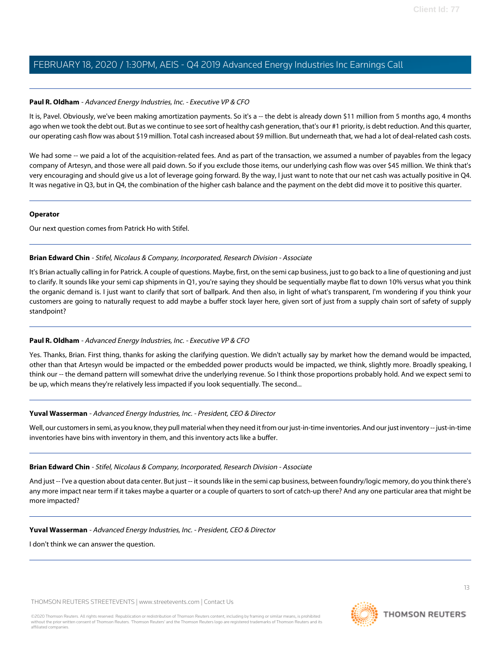#### **Paul R. Oldham** - Advanced Energy Industries, Inc. - Executive VP & CFO

It is, Pavel. Obviously, we've been making amortization payments. So it's a -- the debt is already down \$11 million from 5 months ago, 4 months ago when we took the debt out. But as we continue to see sort of healthy cash generation, that's our #1 priority, is debt reduction. And this quarter, our operating cash flow was about \$19 million. Total cash increased about \$9 million. But underneath that, we had a lot of deal-related cash costs.

We had some -- we paid a lot of the acquisition-related fees. And as part of the transaction, we assumed a number of payables from the legacy company of Artesyn, and those were all paid down. So if you exclude those items, our underlying cash flow was over \$45 million. We think that's very encouraging and should give us a lot of leverage going forward. By the way, I just want to note that our net cash was actually positive in Q4. It was negative in Q3, but in Q4, the combination of the higher cash balance and the payment on the debt did move it to positive this quarter.

#### **Operator**

<span id="page-12-0"></span>Our next question comes from Patrick Ho with Stifel.

#### **Brian Edward Chin** - Stifel, Nicolaus & Company, Incorporated, Research Division - Associate

It's Brian actually calling in for Patrick. A couple of questions. Maybe, first, on the semi cap business, just to go back to a line of questioning and just to clarify. It sounds like your semi cap shipments in Q1, you're saying they should be sequentially maybe flat to down 10% versus what you think the organic demand is. I just want to clarify that sort of ballpark. And then also, in light of what's transparent, I'm wondering if you think your customers are going to naturally request to add maybe a buffer stock layer here, given sort of just from a supply chain sort of safety of supply standpoint?

## **Paul R. Oldham** - Advanced Energy Industries, Inc. - Executive VP & CFO

Yes. Thanks, Brian. First thing, thanks for asking the clarifying question. We didn't actually say by market how the demand would be impacted, other than that Artesyn would be impacted or the embedded power products would be impacted, we think, slightly more. Broadly speaking, I think our -- the demand pattern will somewhat drive the underlying revenue. So I think those proportions probably hold. And we expect semi to be up, which means they're relatively less impacted if you look sequentially. The second...

## **Yuval Wasserman** - Advanced Energy Industries, Inc. - President, CEO & Director

Well, our customers in semi, as you know, they pull material when they need it from our just-in-time inventories. And our just inventory -- just-in-time inventories have bins with inventory in them, and this inventory acts like a buffer.

#### **Brian Edward Chin** - Stifel, Nicolaus & Company, Incorporated, Research Division - Associate

And just -- I've a question about data center. But just -- it sounds like in the semi cap business, between foundry/logic memory, do you think there's any more impact near term if it takes maybe a quarter or a couple of quarters to sort of catch-up there? And any one particular area that might be more impacted?

#### **Yuval Wasserman** - Advanced Energy Industries, Inc. - President, CEO & Director

I don't think we can answer the question.

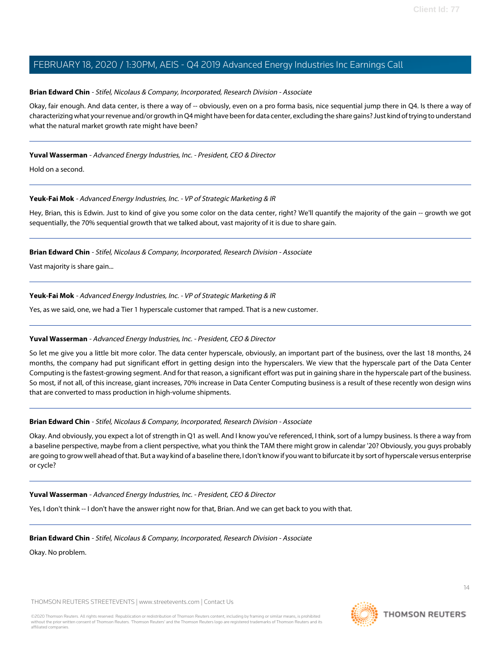#### **Brian Edward Chin** - Stifel, Nicolaus & Company, Incorporated, Research Division - Associate

Okay, fair enough. And data center, is there a way of -- obviously, even on a pro forma basis, nice sequential jump there in Q4. Is there a way of characterizing what your revenue and/or growth in Q4 might have been for data center, excluding the share gains? Just kind of trying to understand what the natural market growth rate might have been?

## **Yuval Wasserman** - Advanced Energy Industries, Inc. - President, CEO & Director

Hold on a second.

#### **Yeuk-Fai Mok** - Advanced Energy Industries, Inc. - VP of Strategic Marketing & IR

Hey, Brian, this is Edwin. Just to kind of give you some color on the data center, right? We'll quantify the majority of the gain -- growth we got sequentially, the 70% sequential growth that we talked about, vast majority of it is due to share gain.

#### **Brian Edward Chin** - Stifel, Nicolaus & Company, Incorporated, Research Division - Associate

Vast majority is share gain...

#### **Yeuk-Fai Mok** - Advanced Energy Industries, Inc. - VP of Strategic Marketing & IR

Yes, as we said, one, we had a Tier 1 hyperscale customer that ramped. That is a new customer.

## **Yuval Wasserman** - Advanced Energy Industries, Inc. - President, CEO & Director

So let me give you a little bit more color. The data center hyperscale, obviously, an important part of the business, over the last 18 months, 24 months, the company had put significant effort in getting design into the hyperscalers. We view that the hyperscale part of the Data Center Computing is the fastest-growing segment. And for that reason, a significant effort was put in gaining share in the hyperscale part of the business. So most, if not all, of this increase, giant increases, 70% increase in Data Center Computing business is a result of these recently won design wins that are converted to mass production in high-volume shipments.

#### **Brian Edward Chin** - Stifel, Nicolaus & Company, Incorporated, Research Division - Associate

Okay. And obviously, you expect a lot of strength in Q1 as well. And I know you've referenced, I think, sort of a lumpy business. Is there a way from a baseline perspective, maybe from a client perspective, what you think the TAM there might grow in calendar '20? Obviously, you guys probably are going to grow well ahead of that. But a way kind of a baseline there, I don't know if you want to bifurcate it by sort of hyperscale versus enterprise or cycle?

#### **Yuval Wasserman** - Advanced Energy Industries, Inc. - President, CEO & Director

Yes, I don't think -- I don't have the answer right now for that, Brian. And we can get back to you with that.

#### **Brian Edward Chin** - Stifel, Nicolaus & Company, Incorporated, Research Division - Associate

Okay. No problem.

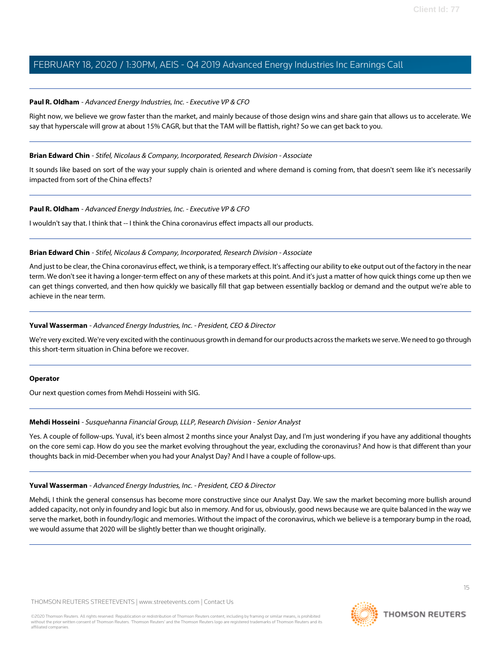#### **Paul R. Oldham** - Advanced Energy Industries, Inc. - Executive VP & CFO

Right now, we believe we grow faster than the market, and mainly because of those design wins and share gain that allows us to accelerate. We say that hyperscale will grow at about 15% CAGR, but that the TAM will be flattish, right? So we can get back to you.

#### **Brian Edward Chin** - Stifel, Nicolaus & Company, Incorporated, Research Division - Associate

It sounds like based on sort of the way your supply chain is oriented and where demand is coming from, that doesn't seem like it's necessarily impacted from sort of the China effects?

#### **Paul R. Oldham** - Advanced Energy Industries, Inc. - Executive VP & CFO

I wouldn't say that. I think that -- I think the China coronavirus effect impacts all our products.

#### **Brian Edward Chin** - Stifel, Nicolaus & Company, Incorporated, Research Division - Associate

And just to be clear, the China coronavirus effect, we think, is a temporary effect. It's affecting our ability to eke output out of the factory in the near term. We don't see it having a longer-term effect on any of these markets at this point. And it's just a matter of how quick things come up then we can get things converted, and then how quickly we basically fill that gap between essentially backlog or demand and the output we're able to achieve in the near term.

#### **Yuval Wasserman** - Advanced Energy Industries, Inc. - President, CEO & Director

We're very excited. We're very excited with the continuous growth in demand for our products across the markets we serve. We need to go through this short-term situation in China before we recover.

#### <span id="page-14-0"></span>**Operator**

Our next question comes from Mehdi Hosseini with SIG.

#### **Mehdi Hosseini** - Susquehanna Financial Group, LLLP, Research Division - Senior Analyst

Yes. A couple of follow-ups. Yuval, it's been almost 2 months since your Analyst Day, and I'm just wondering if you have any additional thoughts on the core semi cap. How do you see the market evolving throughout the year, excluding the coronavirus? And how is that different than your thoughts back in mid-December when you had your Analyst Day? And I have a couple of follow-ups.

#### **Yuval Wasserman** - Advanced Energy Industries, Inc. - President, CEO & Director

Mehdi, I think the general consensus has become more constructive since our Analyst Day. We saw the market becoming more bullish around added capacity, not only in foundry and logic but also in memory. And for us, obviously, good news because we are quite balanced in the way we serve the market, both in foundry/logic and memories. Without the impact of the coronavirus, which we believe is a temporary bump in the road, we would assume that 2020 will be slightly better than we thought originally.

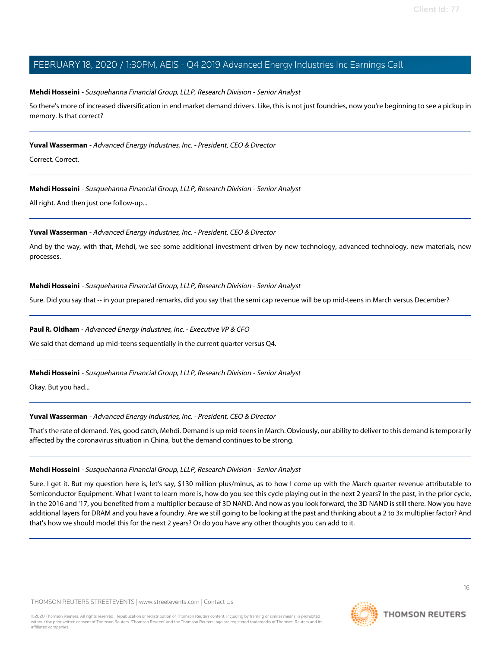#### **Mehdi Hosseini** - Susquehanna Financial Group, LLLP, Research Division - Senior Analyst

So there's more of increased diversification in end market demand drivers. Like, this is not just foundries, now you're beginning to see a pickup in memory. Is that correct?

#### **Yuval Wasserman** - Advanced Energy Industries, Inc. - President, CEO & Director

Correct. Correct.

#### **Mehdi Hosseini** - Susquehanna Financial Group, LLLP, Research Division - Senior Analyst

All right. And then just one follow-up...

#### **Yuval Wasserman** - Advanced Energy Industries, Inc. - President, CEO & Director

And by the way, with that, Mehdi, we see some additional investment driven by new technology, advanced technology, new materials, new processes.

#### **Mehdi Hosseini** - Susquehanna Financial Group, LLLP, Research Division - Senior Analyst

Sure. Did you say that -- in your prepared remarks, did you say that the semi cap revenue will be up mid-teens in March versus December?

#### **Paul R. Oldham** - Advanced Energy Industries, Inc. - Executive VP & CFO

We said that demand up mid-teens sequentially in the current quarter versus Q4.

#### **Mehdi Hosseini** - Susquehanna Financial Group, LLLP, Research Division - Senior Analyst

Okay. But you had...

#### **Yuval Wasserman** - Advanced Energy Industries, Inc. - President, CEO & Director

That's the rate of demand. Yes, good catch, Mehdi. Demand is up mid-teens in March. Obviously, our ability to deliver to this demand is temporarily affected by the coronavirus situation in China, but the demand continues to be strong.

#### **Mehdi Hosseini** - Susquehanna Financial Group, LLLP, Research Division - Senior Analyst

Sure. I get it. But my question here is, let's say, \$130 million plus/minus, as to how I come up with the March quarter revenue attributable to Semiconductor Equipment. What I want to learn more is, how do you see this cycle playing out in the next 2 years? In the past, in the prior cycle, in the 2016 and '17, you benefited from a multiplier because of 3D NAND. And now as you look forward, the 3D NAND is still there. Now you have additional layers for DRAM and you have a foundry. Are we still going to be looking at the past and thinking about a 2 to 3x multiplier factor? And that's how we should model this for the next 2 years? Or do you have any other thoughts you can add to it.

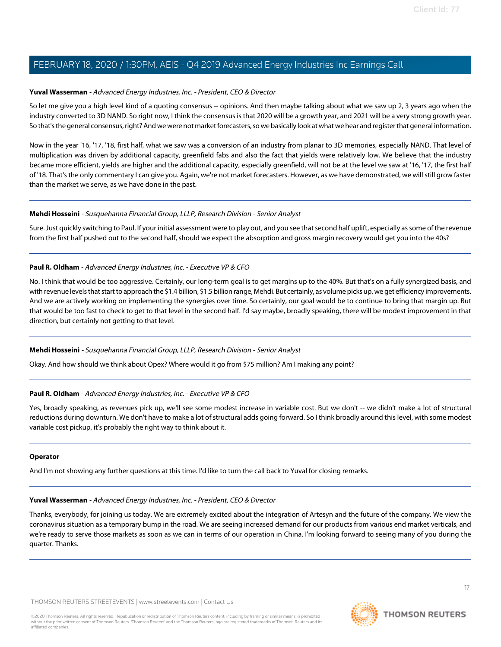#### **Yuval Wasserman** - Advanced Energy Industries, Inc. - President, CEO & Director

So let me give you a high level kind of a quoting consensus -- opinions. And then maybe talking about what we saw up 2, 3 years ago when the industry converted to 3D NAND. So right now, I think the consensus is that 2020 will be a growth year, and 2021 will be a very strong growth year. So that's the general consensus, right? And we were not market forecasters, so we basically look at what we hear and register that general information.

Now in the year '16, '17, '18, first half, what we saw was a conversion of an industry from planar to 3D memories, especially NAND. That level of multiplication was driven by additional capacity, greenfield fabs and also the fact that yields were relatively low. We believe that the industry became more efficient, yields are higher and the additional capacity, especially greenfield, will not be at the level we saw at '16, '17, the first half of '18. That's the only commentary I can give you. Again, we're not market forecasters. However, as we have demonstrated, we will still grow faster than the market we serve, as we have done in the past.

#### **Mehdi Hosseini** - Susquehanna Financial Group, LLLP, Research Division - Senior Analyst

Sure. Just quickly switching to Paul. If your initial assessment were to play out, and you see that second half uplift, especially as some of the revenue from the first half pushed out to the second half, should we expect the absorption and gross margin recovery would get you into the 40s?

#### **Paul R. Oldham** - Advanced Energy Industries, Inc. - Executive VP & CFO

No. I think that would be too aggressive. Certainly, our long-term goal is to get margins up to the 40%. But that's on a fully synergized basis, and with revenue levels that start to approach the \$1.4 billion, \$1.5 billion range, Mehdi. But certainly, as volume picks up, we get efficiency improvements. And we are actively working on implementing the synergies over time. So certainly, our goal would be to continue to bring that margin up. But that would be too fast to check to get to that level in the second half. I'd say maybe, broadly speaking, there will be modest improvement in that direction, but certainly not getting to that level.

#### **Mehdi Hosseini** - Susquehanna Financial Group, LLLP, Research Division - Senior Analyst

Okay. And how should we think about Opex? Where would it go from \$75 million? Am I making any point?

## **Paul R. Oldham** - Advanced Energy Industries, Inc. - Executive VP & CFO

Yes, broadly speaking, as revenues pick up, we'll see some modest increase in variable cost. But we don't -- we didn't make a lot of structural reductions during downturn. We don't have to make a lot of structural adds going forward. So I think broadly around this level, with some modest variable cost pickup, it's probably the right way to think about it.

#### **Operator**

And I'm not showing any further questions at this time. I'd like to turn the call back to Yuval for closing remarks.

#### **Yuval Wasserman** - Advanced Energy Industries, Inc. - President, CEO & Director

Thanks, everybody, for joining us today. We are extremely excited about the integration of Artesyn and the future of the company. We view the coronavirus situation as a temporary bump in the road. We are seeing increased demand for our products from various end market verticals, and we're ready to serve those markets as soon as we can in terms of our operation in China. I'm looking forward to seeing many of you during the quarter. Thanks.